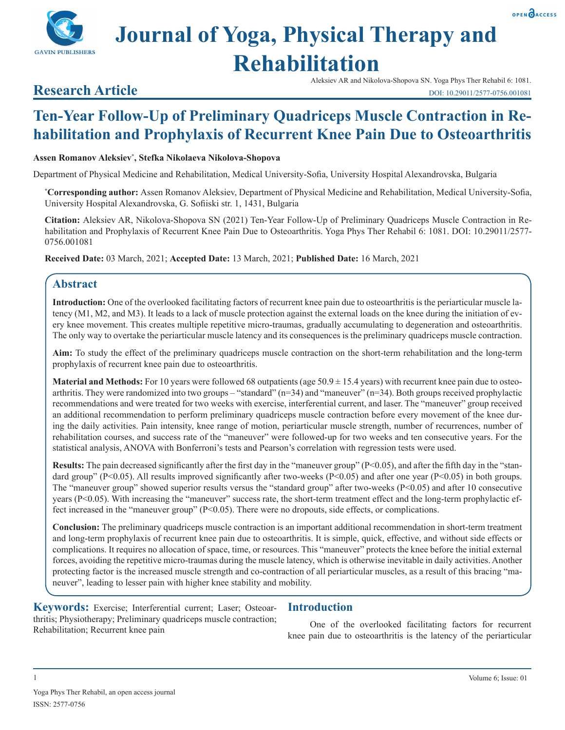# **Journal of Yoga, Physical Therapy and Rehabilitation**

Aleksiev AR and Nikolova-Shopova SN. Yoga Phys Ther Rehabil 6: 1081.

# **Research Article**

**GAVIN PUBLISHERS** 

# **Ten-Year Follow-Up of Preliminary Quadriceps Muscle Contraction in Rehabilitation and Prophylaxis of Recurrent Knee Pain Due to Osteoarthritis**

#### **Assen Romanov Aleksiev\* , Stefka Nikolaeva Nikolova-Shopova**

Department of Physical Medicine and Rehabilitation, Medical University-Sofia, University Hospital Alexandrovska, Bulgaria

**\* Corresponding author:** Assen Romanov Aleksiev, Department of Physical Medicine and Rehabilitation, Medical University-Sofia, University Hospital Alexandrovska, G. Sofiiski str. 1, 1431, Bulgaria

**Citation:** Aleksiev AR, Nikolova-Shopova SN (2021) Ten-Year Follow-Up of Preliminary Quadriceps Muscle Contraction in Rehabilitation and Prophylaxis of Recurrent Knee Pain Due to Osteoarthritis. Yoga Phys Ther Rehabil 6: 1081. DOI: 10.29011/2577- 0756.001081

**Received Date:** 03 March, 2021; **Accepted Date:** 13 March, 2021; **Published Date:** 16 March, 2021

# **Abstract**

**Introduction:** One of the overlooked facilitating factors of recurrent knee pain due to osteoarthritis is the periarticular muscle latency (M1, M2, and M3). It leads to a lack of muscle protection against the external loads on the knee during the initiation of every knee movement. This creates multiple repetitive micro-traumas, gradually accumulating to degeneration and osteoarthritis. The only way to overtake the periarticular muscle latency and its consequences is the preliminary quadriceps muscle contraction.

**Aim:** To study the effect of the preliminary quadriceps muscle contraction on the short-term rehabilitation and the long-term prophylaxis of recurrent knee pain due to osteoarthritis.

**Material and Methods:** For 10 years were followed 68 outpatients (age 50.9  $\pm$  15.4 years) with recurrent knee pain due to osteoarthritis. They were randomized into two groups – "standard" (n=34) and "maneuver" (n=34). Both groups received prophylactic recommendations and were treated for two weeks with exercise, interferential current, and laser. The "maneuver" group received an additional recommendation to perform preliminary quadriceps muscle contraction before every movement of the knee during the daily activities. Pain intensity, knee range of motion, periarticular muscle strength, number of recurrences, number of rehabilitation courses, and success rate of the "maneuver" were followed-up for two weeks and ten consecutive years. For the statistical analysis, ANOVA with Bonferroni's tests and Pearson's correlation with regression tests were used.

**Results:** The pain decreased significantly after the first day in the "maneuver group" (P<0.05), and after the fifth day in the "standard group" (P<0.05). All results improved significantly after two-weeks (P<0.05) and after one year (P<0.05) in both groups. The "maneuver group" showed superior results versus the "standard group" after two-weeks  $(P<0.05)$  and after 10 consecutive years (P<0.05). With increasing the "maneuver" success rate, the short-term treatment effect and the long-term prophylactic effect increased in the "maneuver group" (P<0.05). There were no dropouts, side effects, or complications.

**Conclusion:** The preliminary quadriceps muscle contraction is an important additional recommendation in short-term treatment and long-term prophylaxis of recurrent knee pain due to osteoarthritis. It is simple, quick, effective, and without side effects or complications. It requires no allocation of space, time, or resources. This "maneuver" protects the knee before the initial external forces, avoiding the repetitive micro-traumas during the muscle latency, which is otherwise inevitable in daily activities. Another protecting factor is the increased muscle strength and co-contraction of all periarticular muscles, as a result of this bracing "maneuver", leading to lesser pain with higher knee stability and mobility.

**Keywords:** Exercise; Interferential current; Laser; Osteoarthritis; Physiotherapy; Preliminary quadriceps muscle contraction; Rehabilitation; Recurrent knee pain

# **Introduction**

One of the overlooked facilitating factors for recurrent knee pain due to osteoarthritis is the latency of the periarticular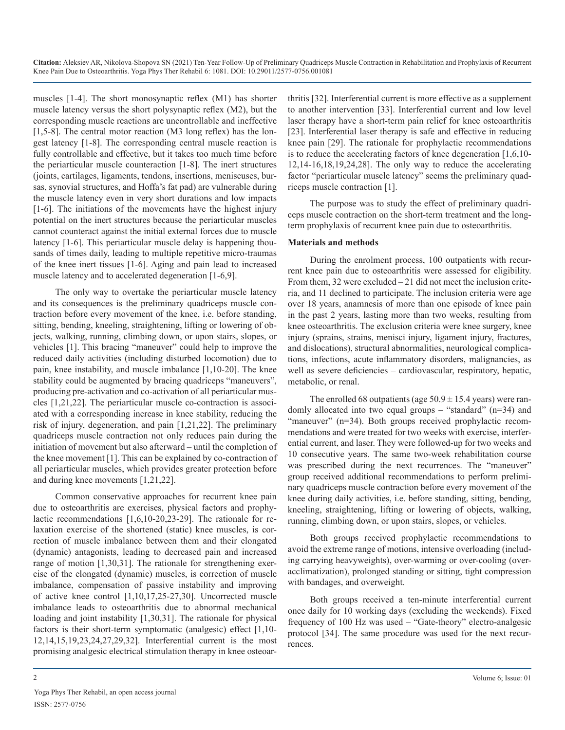muscles [1-4]. The short monosynaptic reflex (M1) has shorter muscle latency versus the short polysynaptic reflex (M2), but the corresponding muscle reactions are uncontrollable and ineffective [1,5-8]. The central motor reaction (M3 long reflex) has the longest latency [1-8]. The corresponding central muscle reaction is fully controllable and effective, but it takes too much time before the periarticular muscle counteraction [1-8]. The inert structures (joints, cartilages, ligaments, tendons, insertions, meniscuses, bursas, synovial structures, and Hoffa's fat pad) are vulnerable during the muscle latency even in very short durations and low impacts [1-6]. The initiations of the movements have the highest injury potential on the inert structures because the periarticular muscles cannot counteract against the initial external forces due to muscle latency [1-6]. This periarticular muscle delay is happening thousands of times daily, leading to multiple repetitive micro-traumas of the knee inert tissues [1-6]. Aging and pain lead to increased muscle latency and to accelerated degeneration [1-6,9].

The only way to overtake the periarticular muscle latency and its consequences is the preliminary quadriceps muscle contraction before every movement of the knee, i.e. before standing, sitting, bending, kneeling, straightening, lifting or lowering of objects, walking, running, climbing down, or upon stairs, slopes, or vehicles [1]. This bracing "maneuver" could help to improve the reduced daily activities (including disturbed locomotion) due to pain, knee instability, and muscle imbalance [1,10-20]. The knee stability could be augmented by bracing quadriceps "maneuvers", producing pre-activation and co-activation of all periarticular muscles [1,21,22]. The periarticular muscle co-contraction is associated with a corresponding increase in knee stability, reducing the risk of injury, degeneration, and pain [1,21,22]. The preliminary quadriceps muscle contraction not only reduces pain during the initiation of movement but also afterward – until the completion of the knee movement [1]. This can be explained by co-contraction of all periarticular muscles, which provides greater protection before and during knee movements [1,21,22].

Common conservative approaches for recurrent knee pain due to osteoarthritis are exercises, physical factors and prophylactic recommendations [1,6,10-20,23-29]. The rationale for relaxation exercise of the shortened (static) knee muscles, is correction of muscle imbalance between them and their elongated (dynamic) antagonists, leading to decreased pain and increased range of motion [1,30,31]. The rationale for strengthening exercise of the elongated (dynamic) muscles, is correction of muscle imbalance, compensation of passive instability and improving of active knee control [1,10,17,25-27,30]. Uncorrected muscle imbalance leads to osteoarthritis due to abnormal mechanical loading and joint instability [1,30,31]. The rationale for physical factors is their short-term symptomatic (analgesic) effect [1,10- 12,14,15,19,23,24,27,29,32]. Interferential current is the most promising analgesic electrical stimulation therapy in knee osteoarthritis [32]. Interferential current is more effective as a supplement to another intervention [33]. Interferential current and low level laser therapy have a short-term pain relief for knee osteoarthritis [23]. Interferential laser therapy is safe and effective in reducing knee pain [29]. The rationale for prophylactic recommendations is to reduce the accelerating factors of knee degeneration [1,6,10- 12,14-16,18,19,24,28]. The only way to reduce the accelerating factor "periarticular muscle latency" seems the preliminary quadriceps muscle contraction [1].

The purpose was to study the effect of preliminary quadriceps muscle contraction on the short-term treatment and the longterm prophylaxis of recurrent knee pain due to osteoarthritis.

#### **Materials and methods**

During the enrolment process, 100 outpatients with recurrent knee pain due to osteoarthritis were assessed for eligibility. From them, 32 were excluded – 21 did not meet the inclusion criteria, and 11 declined to participate. The inclusion criteria were age over 18 years, anamnesis of more than one episode of knee pain in the past 2 years, lasting more than two weeks, resulting from knee osteoarthritis. The exclusion criteria were knee surgery, knee injury (sprains, strains, menisci injury, ligament injury, fractures, and dislocations), structural abnormalities, neurological complications, infections, acute inflammatory disorders, malignancies, as well as severe deficiencies – cardiovascular, respiratory, hepatic, metabolic, or renal.

The enrolled 68 outpatients (age  $50.9 \pm 15.4$  years) were randomly allocated into two equal groups – "standard" (n=34) and "maneuver" (n=34). Both groups received prophylactic recommendations and were treated for two weeks with exercise, interferential current, and laser. They were followed-up for two weeks and 10 consecutive years. The same two-week rehabilitation course was prescribed during the next recurrences. The "maneuver" group received additional recommendations to perform preliminary quadriceps muscle contraction before every movement of the knee during daily activities, i.e. before standing, sitting, bending, kneeling, straightening, lifting or lowering of objects, walking, running, climbing down, or upon stairs, slopes, or vehicles.

Both groups received prophylactic recommendations to avoid the extreme range of motions, intensive overloading (including carrying heavyweights), over-warming or over-cooling (overacclimatization), prolonged standing or sitting, tight compression with bandages, and overweight.

Both groups received a ten-minute interferential current once daily for 10 working days (excluding the weekends). Fixed frequency of 100 Hz was used – "Gate-theory" electro-analgesic protocol [34]. The same procedure was used for the next recurrences.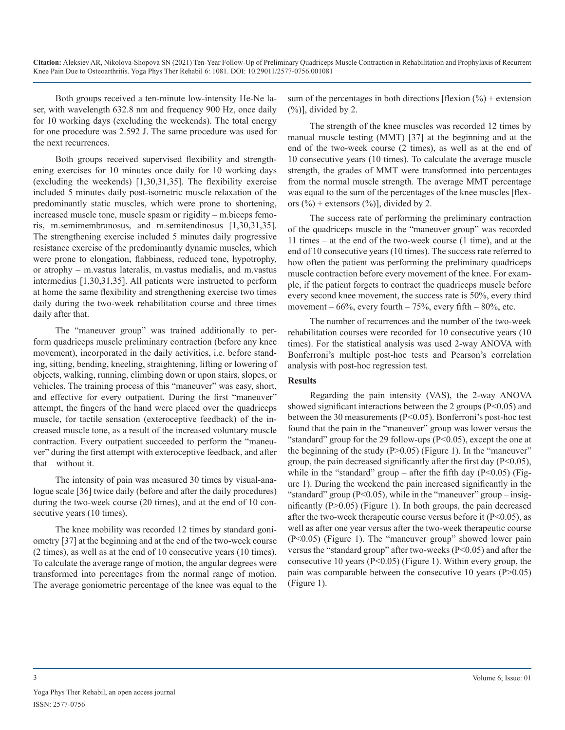Both groups received a ten-minute low-intensity He-Ne laser, with wavelength 632.8 nm and frequency 900 Hz, once daily for 10 working days (excluding the weekends). The total energy for one procedure was 2.592 J. The same procedure was used for the next recurrences.

Both groups received supervised flexibility and strengthening exercises for 10 minutes once daily for 10 working days (excluding the weekends) [1,30,31,35]. The flexibility exercise included 5 minutes daily post-isometric muscle relaxation of the predominantly static muscles, which were prone to shortening, increased muscle tone, muscle spasm or rigidity – m.biceps femoris, m.semimembranosus, and m.semitendinosus [1,30,31,35]. The strengthening exercise included 5 minutes daily progressive resistance exercise of the predominantly dynamic muscles, which were prone to elongation, flabbiness, reduced tone, hypotrophy, or atrophy – m.vastus lateralis, m.vastus medialis, and m.vastus intermedius [1,30,31,35]. All patients were instructed to perform at home the same flexibility and strengthening exercise two times daily during the two-week rehabilitation course and three times daily after that.

The "maneuver group" was trained additionally to perform quadriceps muscle preliminary contraction (before any knee movement), incorporated in the daily activities, i.e. before standing, sitting, bending, kneeling, straightening, lifting or lowering of objects, walking, running, climbing down or upon stairs, slopes, or vehicles. The training process of this "maneuver" was easy, short, and effective for every outpatient. During the first "maneuver" attempt, the fingers of the hand were placed over the quadriceps muscle, for tactile sensation (exteroceptive feedback) of the increased muscle tone, as a result of the increased voluntary muscle contraction. Every outpatient succeeded to perform the "maneuver" during the first attempt with exteroceptive feedback, and after that – without it.

The intensity of pain was measured 30 times by visual-analogue scale [36] twice daily (before and after the daily procedures) during the two-week course (20 times), and at the end of 10 consecutive years (10 times).

The knee mobility was recorded 12 times by standard goniometry [37] at the beginning and at the end of the two-week course (2 times), as well as at the end of 10 consecutive years (10 times). To calculate the average range of motion, the angular degrees were transformed into percentages from the normal range of motion. The average goniometric percentage of the knee was equal to the

sum of the percentages in both directions [flexion  $(\%)$  + extension  $(\%)$ ], divided by 2.

The strength of the knee muscles was recorded 12 times by manual muscle testing (MMT) [37] at the beginning and at the end of the two-week course (2 times), as well as at the end of 10 consecutive years (10 times). To calculate the average muscle strength, the grades of MMT were transformed into percentages from the normal muscle strength. The average MMT percentage was equal to the sum of the percentages of the knee muscles [flexors  $(\frac{6}{6})$  + extensors  $(\frac{6}{6})$ , divided by 2.

The success rate of performing the preliminary contraction of the quadriceps muscle in the "maneuver group" was recorded 11 times – at the end of the two-week course (1 time), and at the end of 10 consecutive years (10 times). The success rate referred to how often the patient was performing the preliminary quadriceps muscle contraction before every movement of the knee. For example, if the patient forgets to contract the quadriceps muscle before every second knee movement, the success rate is 50%, every third movement –  $66\%$ , every fourth –  $75\%$ , every fifth –  $80\%$ , etc.

The number of recurrences and the number of the two-week rehabilitation courses were recorded for 10 consecutive years (10 times). For the statistical analysis was used 2-way ANOVA with Bonferroni's multiple post-hoc tests and Pearson's correlation analysis with post-hoc regression test.

#### **Results**

Regarding the pain intensity (VAS), the 2-way ANOVA showed significant interactions between the 2 groups  $(P<0.05)$  and between the 30 measurements (P<0.05). Bonferroni's post-hoc test found that the pain in the "maneuver" group was lower versus the "standard" group for the 29 follow-ups  $(P<0.05)$ , except the one at the beginning of the study  $(P>0.05)$  (Figure 1). In the "maneuver" group, the pain decreased significantly after the first day  $(P<0.05)$ , while in the "standard" group – after the fifth day ( $P<0.05$ ) (Figure 1). During the weekend the pain increased significantly in the "standard" group  $(P<0.05)$ , while in the "maneuver" group – insignificantly  $(P>0.05)$  (Figure 1). In both groups, the pain decreased after the two-week therapeutic course versus before it  $(P<0.05)$ , as well as after one year versus after the two-week therapeutic course (P<0.05) (Figure 1). The "maneuver group" showed lower pain versus the "standard group" after two-weeks (P<0.05) and after the consecutive 10 years (P<0.05) (Figure 1). Within every group, the pain was comparable between the consecutive 10 years (P>0.05) (Figure 1).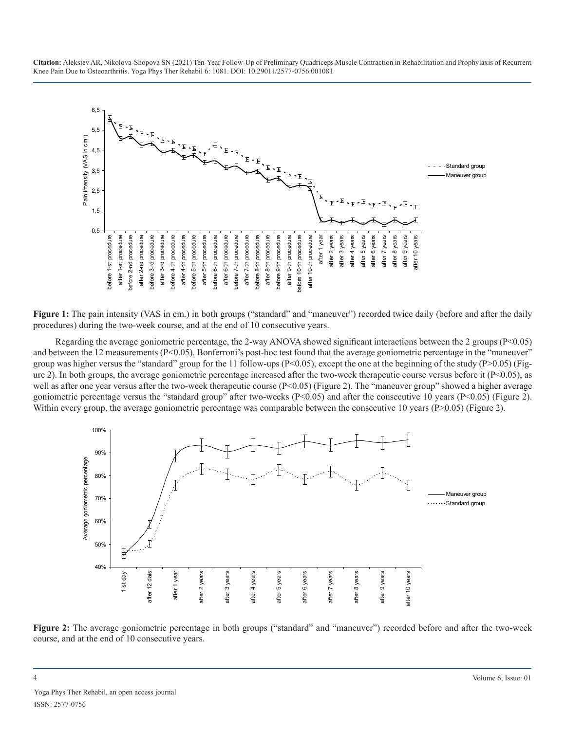

Figure 1: The pain intensity (VAS in cm.) in both groups ("standard" and "maneuver") recorded twice daily (before and after the daily procedures) during the two-week course, and at the end of 10 consecutive years.

Regarding the average goniometric percentage, the 2-way ANOVA showed significant interactions between the 2 groups ( $P < 0.05$ ) and between the 12 measurements (P<0.05). Bonferroni's post-hoc test found that the average goniometric percentage in the "maneuver" group was higher versus the "standard" group for the 11 follow-ups (P<0.05), except the one at the beginning of the study (P>0.05) (Figure 2). In both groups, the average goniometric percentage increased after the two-week therapeutic course versus before it (P<0.05), as well as after one year versus after the two-week therapeutic course (P<0.05) (Figure 2). The "maneuver group" showed a higher average goniometric percentage versus the "standard group" after two-weeks (P<0.05) and after the consecutive 10 years (P<0.05) (Figure 2). Within every group, the average goniometric percentage was comparable between the consecutive 10 years (P>0.05) (Figure 2).



**Figure 2:** The average goniometric percentage in both groups ("standard" and "maneuver") recorded before and after the two-week course, and at the end of 10 consecutive years.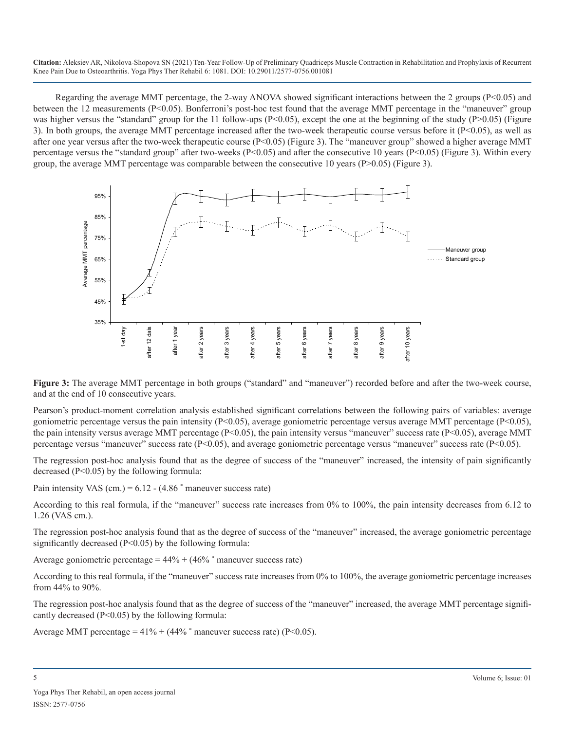Regarding the average MMT percentage, the 2-way ANOVA showed significant interactions between the 2 groups ( $P<0.05$ ) and between the 12 measurements (P<0.05). Bonferroni's post-hoc test found that the average MMT percentage in the "maneuver" group was higher versus the "standard" group for the 11 follow-ups (P<0.05), except the one at the beginning of the study (P>0.05) (Figure 3). In both groups, the average MMT percentage increased after the two-week therapeutic course versus before it (P<0.05), as well as after one year versus after the two-week therapeutic course (P<0.05) (Figure 3). The "maneuver group" showed a higher average MMT percentage versus the "standard group" after two-weeks (P<0.05) and after the consecutive 10 years (P<0.05) (Figure 3). Within every group, the average MMT percentage was comparable between the consecutive 10 years (P>0.05) (Figure 3).



**Figure 3:** The average MMT percentage in both groups ("standard" and "maneuver") recorded before and after the two-week course, and at the end of 10 consecutive years.

Pearson's product-moment correlation analysis established significant correlations between the following pairs of variables: average goniometric percentage versus the pain intensity ( $P<0.05$ ), average goniometric percentage versus average MMT percentage ( $P<0.05$ ), the pain intensity versus average MMT percentage  $(P<0.05)$ , the pain intensity versus "maneuver" success rate  $(P<0.05)$ , average MMT percentage versus "maneuver" success rate (P<0.05), and average goniometric percentage versus "maneuver" success rate (P<0.05).

The regression post-hoc analysis found that as the degree of success of the "maneuver" increased, the intensity of pain significantly decreased (P<0.05) by the following formula:

Pain intensity VAS  $(cm.) = 6.12 - (4.86 * manner success rate)$ 

According to this real formula, if the "maneuver" success rate increases from 0% to 100%, the pain intensity decreases from 6.12 to 1.26 (VAS cm.).

The regression post-hoc analysis found that as the degree of success of the "maneuver" increased, the average goniometric percentage significantly decreased (P<0.05) by the following formula:

Average goniometric percentage =  $44\% + (46\%$  \* maneuver success rate)

According to this real formula, if the "maneuver" success rate increases from 0% to 100%, the average goniometric percentage increases from 44% to 90%.

The regression post-hoc analysis found that as the degree of success of the "maneuver" increased, the average MMT percentage significantly decreased  $(P<0.05)$  by the following formula:

Average MMT percentage =  $41\% + (44\% *$  maneuver success rate) (P<0.05).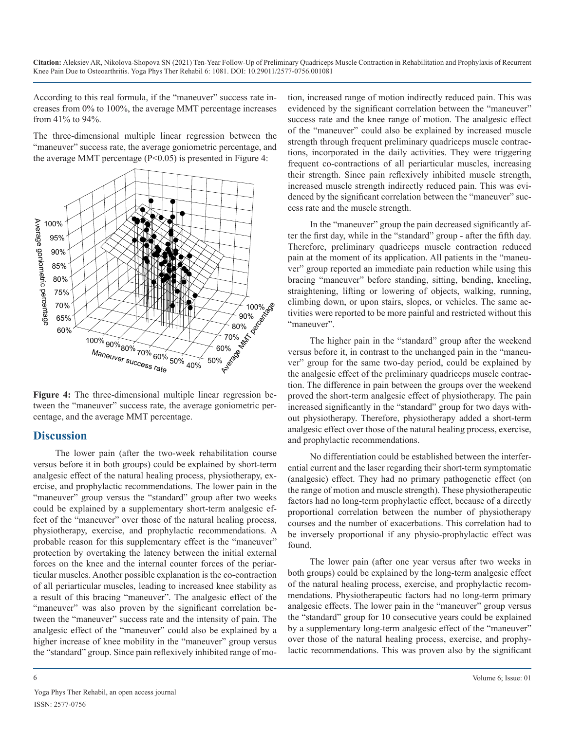According to this real formula, if the "maneuver" success rate increases from 0% to 100%, the average MMT percentage increases from 41% to 94%.

The three-dimensional multiple linear regression between the "maneuver" success rate, the average goniometric percentage, and the average MMT percentage (P<0.05) is presented in Figure 4:



**Figure 4:** The three-dimensional multiple linear regression between the "maneuver" success rate, the average goniometric percentage, and the average MMT percentage.

### **Discussion**

The lower pain (after the two-week rehabilitation course versus before it in both groups) could be explained by short-term analgesic effect of the natural healing process, physiotherapy, exercise, and prophylactic recommendations. The lower pain in the "maneuver" group versus the "standard" group after two weeks could be explained by a supplementary short-term analgesic effect of the "maneuver" over those of the natural healing process, physiotherapy, exercise, and prophylactic recommendations. A probable reason for this supplementary effect is the "maneuver" protection by overtaking the latency between the initial external forces on the knee and the internal counter forces of the periarticular muscles. Another possible explanation is the co-contraction of all periarticular muscles, leading to increased knee stability as a result of this bracing "maneuver". The analgesic effect of the "maneuver" was also proven by the significant correlation between the "maneuver" success rate and the intensity of pain. The analgesic effect of the "maneuver" could also be explained by a higher increase of knee mobility in the "maneuver" group versus the "standard" group. Since pain reflexively inhibited range of motion, increased range of motion indirectly reduced pain. This was evidenced by the significant correlation between the "maneuver" success rate and the knee range of motion. The analgesic effect of the "maneuver" could also be explained by increased muscle strength through frequent preliminary quadriceps muscle contractions, incorporated in the daily activities. They were triggering frequent co-contractions of all periarticular muscles, increasing their strength. Since pain reflexively inhibited muscle strength, increased muscle strength indirectly reduced pain. This was evidenced by the significant correlation between the "maneuver" success rate and the muscle strength.

In the "maneuver" group the pain decreased significantly after the first day, while in the "standard" group - after the fifth day. Therefore, preliminary quadriceps muscle contraction reduced pain at the moment of its application. All patients in the "maneuver" group reported an immediate pain reduction while using this bracing "maneuver" before standing, sitting, bending, kneeling, straightening, lifting or lowering of objects, walking, running, climbing down, or upon stairs, slopes, or vehicles. The same activities were reported to be more painful and restricted without this "maneuver".

The higher pain in the "standard" group after the weekend versus before it, in contrast to the unchanged pain in the "maneuver" group for the same two-day period, could be explained by the analgesic effect of the preliminary quadriceps muscle contraction. The difference in pain between the groups over the weekend proved the short-term analgesic effect of physiotherapy. The pain increased significantly in the "standard" group for two days without physiotherapy. Therefore, physiotherapy added a short-term analgesic effect over those of the natural healing process, exercise, and prophylactic recommendations.

No differentiation could be established between the interferential current and the laser regarding their short-term symptomatic (analgesic) effect. They had no primary pathogenetic effect (on the range of motion and muscle strength). These physiotherapeutic factors had no long-term prophylactic effect, because of a directly proportional correlation between the number of physiotherapy courses and the number of exacerbations. This correlation had to be inversely proportional if any physio-prophylactic effect was found.

The lower pain (after one year versus after two weeks in both groups) could be explained by the long-term analgesic effect of the natural healing process, exercise, and prophylactic recommendations. Physiotherapeutic factors had no long-term primary analgesic effects. The lower pain in the "maneuver" group versus the "standard" group for 10 consecutive years could be explained by a supplementary long-term analgesic effect of the "maneuver" over those of the natural healing process, exercise, and prophylactic recommendations. This was proven also by the significant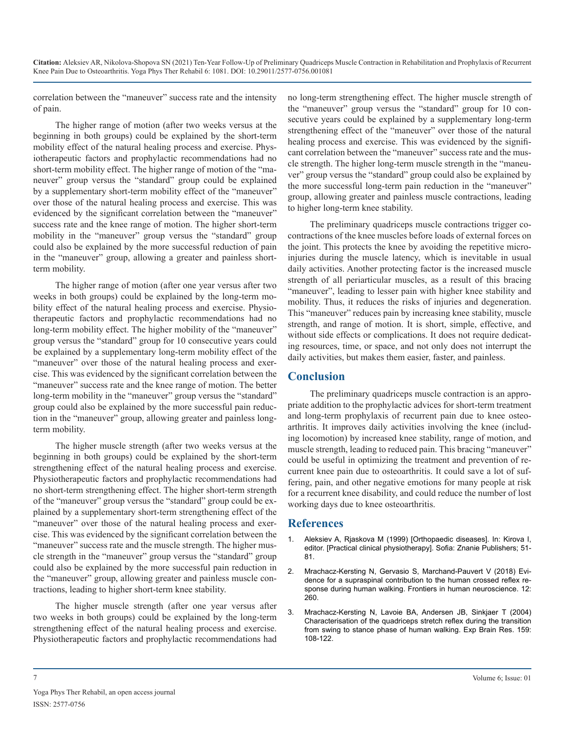correlation between the "maneuver" success rate and the intensity of pain.

The higher range of motion (after two weeks versus at the beginning in both groups) could be explained by the short-term mobility effect of the natural healing process and exercise. Physiotherapeutic factors and prophylactic recommendations had no short-term mobility effect. The higher range of motion of the "maneuver" group versus the "standard" group could be explained by a supplementary short-term mobility effect of the "maneuver" over those of the natural healing process and exercise. This was evidenced by the significant correlation between the "maneuver" success rate and the knee range of motion. The higher short-term mobility in the "maneuver" group versus the "standard" group could also be explained by the more successful reduction of pain in the "maneuver" group, allowing a greater and painless shortterm mobility.

The higher range of motion (after one year versus after two weeks in both groups) could be explained by the long-term mobility effect of the natural healing process and exercise. Physiotherapeutic factors and prophylactic recommendations had no long-term mobility effect. The higher mobility of the "maneuver" group versus the "standard" group for 10 consecutive years could be explained by a supplementary long-term mobility effect of the "maneuver" over those of the natural healing process and exercise. This was evidenced by the significant correlation between the "maneuver" success rate and the knee range of motion. The better long-term mobility in the "maneuver" group versus the "standard" group could also be explained by the more successful pain reduction in the "maneuver" group, allowing greater and painless longterm mobility.

The higher muscle strength (after two weeks versus at the beginning in both groups) could be explained by the short-term strengthening effect of the natural healing process and exercise. Physiotherapeutic factors and prophylactic recommendations had no short-term strengthening effect. The higher short-term strength of the "maneuver" group versus the "standard" group could be explained by a supplementary short-term strengthening effect of the "maneuver" over those of the natural healing process and exercise. This was evidenced by the significant correlation between the "maneuver" success rate and the muscle strength. The higher muscle strength in the "maneuver" group versus the "standard" group could also be explained by the more successful pain reduction in the "maneuver" group, allowing greater and painless muscle contractions, leading to higher short-term knee stability.

The higher muscle strength (after one year versus after two weeks in both groups) could be explained by the long-term strengthening effect of the natural healing process and exercise. Physiotherapeutic factors and prophylactic recommendations had no long-term strengthening effect. The higher muscle strength of the "maneuver" group versus the "standard" group for 10 consecutive years could be explained by a supplementary long-term strengthening effect of the "maneuver" over those of the natural healing process and exercise. This was evidenced by the significant correlation between the "maneuver" success rate and the muscle strength. The higher long-term muscle strength in the "maneuver" group versus the "standard" group could also be explained by the more successful long-term pain reduction in the "maneuver" group, allowing greater and painless muscle contractions, leading to higher long-term knee stability.

The preliminary quadriceps muscle contractions trigger cocontractions of the knee muscles before loads of external forces on the joint. This protects the knee by avoiding the repetitive microinjuries during the muscle latency, which is inevitable in usual daily activities. Another protecting factor is the increased muscle strength of all periarticular muscles, as a result of this bracing "maneuver", leading to lesser pain with higher knee stability and mobility. Thus, it reduces the risks of injuries and degeneration. This "maneuver" reduces pain by increasing knee stability, muscle strength, and range of motion. It is short, simple, effective, and without side effects or complications. It does not require dedicating resources, time, or space, and not only does not interrupt the daily activities, but makes them easier, faster, and painless.

# **Conclusion**

The preliminary quadriceps muscle contraction is an appropriate addition to the prophylactic advices for short-term treatment and long-term prophylaxis of recurrent pain due to knee osteoarthritis. It improves daily activities involving the knee (including locomotion) by increased knee stability, range of motion, and muscle strength, leading to reduced pain. This bracing "maneuver" could be useful in optimizing the treatment and prevention of recurrent knee pain due to osteoarthritis. It could save a lot of suffering, pain, and other negative emotions for many people at risk for a recurrent knee disability, and could reduce the number of lost working days due to knee osteoarthritis.

# **References**

- 1. [Aleksiev A, Rjaskova M \(1999\) \[Orthopaedic diseases\]. In: Kirova I,](http://193.68.184.7/view/show_isbd.pl?id=7470&SC=avtorid&RC=11&SRV=false&LANG=&CS=10083&SA=%CA%E8%F0%EE%E2%E0%2C %C8%E2%E0%ED%EA%E0 %CB%FE%E1%EE%EC%E8%F0%EE%E2%E0) [editor. \[Practical clinical physiotherapy\]. Sofia: Znanie Publishers; 51-](http://193.68.184.7/view/show_isbd.pl?id=7470&SC=avtorid&RC=11&SRV=false&LANG=&CS=10083&SA=%CA%E8%F0%EE%E2%E0%2C %C8%E2%E0%ED%EA%E0 %CB%FE%E1%EE%EC%E8%F0%EE%E2%E0) [81.](http://193.68.184.7/view/show_isbd.pl?id=7470&SC=avtorid&RC=11&SRV=false&LANG=&CS=10083&SA=%CA%E8%F0%EE%E2%E0%2C %C8%E2%E0%ED%EA%E0 %CB%FE%E1%EE%EC%E8%F0%EE%E2%E0)
- 2. [Mrachacz-Kersting N, Gervasio S, Marchand-Pauvert V \(2018\) Evi](https://pubmed.ncbi.nlm.nih.gov/30008667/)[dence for a supraspinal contribution to the human crossed reflex re](https://pubmed.ncbi.nlm.nih.gov/30008667/)[sponse during human walking. Frontiers in human neuroscience. 12:](https://pubmed.ncbi.nlm.nih.gov/30008667/)  [260.](https://pubmed.ncbi.nlm.nih.gov/30008667/)
- 3. [Mrachacz-Kersting N, Lavoie BA, Andersen JB, Sinkjaer T \(2004\)](https://pubmed.ncbi.nlm.nih.gov/15221163/)  [Characterisation of the quadriceps stretch reflex during the transition](https://pubmed.ncbi.nlm.nih.gov/15221163/)  [from swing to stance phase of human walking. Exp Brain Res. 159:](https://pubmed.ncbi.nlm.nih.gov/15221163/)  [108-122.](https://pubmed.ncbi.nlm.nih.gov/15221163/)